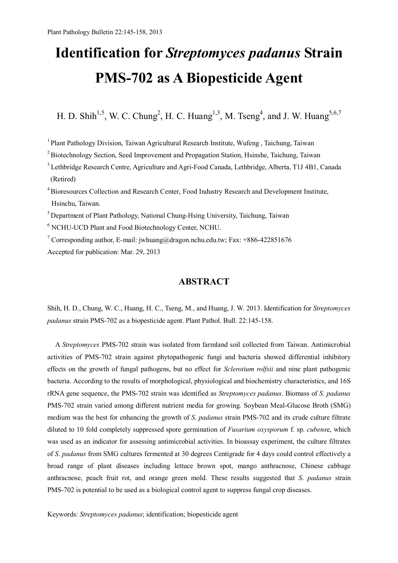# **Identification for** *Streptomyces padanus* **Strain PMS-702 as A Biopesticide Agent**

H. D. Shih<sup>1,5</sup>, W. C. Chung<sup>2</sup>, H. C. Huang<sup>1,3</sup>, M. Tseng<sup>4</sup>, and J. W. Huang<sup>5,6,7</sup>

<sup>1</sup> Plant Pathology Division, Taiwan Agricultural Research Institute, Wufeng, Taichung, Taiwan

<sup>2</sup> Biotechnology Section, Seed Improvement and Propagation Station, Hsinshe, Taichung, Taiwan

<sup>3</sup> Lethbridge Research Centre, Agriculture and Agri-Food Canada, Lethbridge, Alberta, T1J 4B1, Canada (Retired)

<sup>4</sup>Bioresources Collection and Research Center, Food Industry Research and Development Institute, Hsinchu, Taiwan.

 $<sup>5</sup>$  Department of Plant Pathology, National Chung-Hsing University, Taichung, Taiwan</sup>

6 NCHU-UCD Plant and Food Biotechnology Center, NCHU.

<sup>7</sup> Corresponding author, E-mail: jwhuang@dragon.nchu.edu.tw; Fax: +886-422851676 Accepted for publication: Mar. 29, 2013

## **ABSTRACT**

Shih, H. D., Chung, W. C., Huang, H. C., Tseng, M., and Huang, J. W. 2013. Identification for *Streptomyces padanus* strain PMS-702 as a biopesticide agent. Plant Pathol. Bull. 22:145-158.

A *Streptomyces* PMS-702 strain was isolated from farmland soil collected from Taiwan. Antimicrobial activities of PMS-702 strain against phytopathogenic fungi and bacteria showed differential inhibitory effects on the growth of fungal pathogens, but no effect for *Sclerotium rolfsii* and nine plant pathogenic bacteria. According to the results of morphological, physiological and biochemistry characteristics, and 16S rRNA gene sequence, the PMS-702 strain was identified as *Streptomyces padanus*. Biomass of *S. padanus* PMS-702 strain varied among different nutrient media for growing*.* Soybean Meal-Glucose Broth (SMG) medium was the best for enhancing the growth of *S*. *padanus* strain PMS-702 and its crude culture filtrate diluted to 10 fold completely suppressed spore germination of *Fusarium oxysporum* f*.* sp. *cubens*e, which was used as an indicator for assessing antimicrobial activities. In bioassay experiment, the culture filtrates of *S*. *padanus* from SMG cultures fermented at 30 degrees Centigrade for 4 days could control effectively a broad range of plant diseases including lettuce brown spot, mango anthracnose, Chinese cabbage anthracnose, peach fruit rot, and orange green mold. These results suggested that *S*. *padanus* strain PMS-702 is potential to be used as a biological control agent to suppress fungal crop diseases.

Keywords: *Streptomyces padanus*; identification; biopesticide agent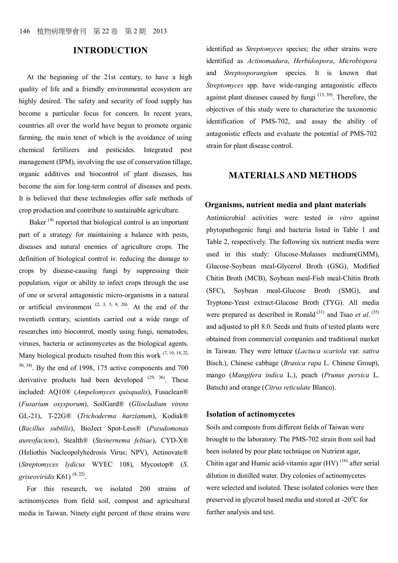## **INTRODUCTION**

At the beginning of the 21st century, to have a high quality of life and a friendly environmental ecosystem are highly desired. The safety and security of food supply has become a particular focus for concern. In recent years, countries all over the world have begun to promote organic farming, the main tenet of which is the avoidance of using chemical fertilizers and pesticides. Integrated pest management (IPM), involving the use of conservation tillage, organic additives and biocontrol of plant diseases, has become the aim for long-term control of diseases and pests. It is believed that these technologies offer safe methods of crop production and contribute to sustainable agriculture.

Baker  $(4)$  reported that biological control is an important part of a strategy for maintaining a balance with pests, diseases and natural enemies of agriculture crops. The definition of biological control is: reducing the damage to crops by disease-causing fungi by suppressing their population, vigor or ability to infect crops through the use of one or several antagonistic micro-organisms in a natural or artificial environment  $(2, 3, 5, 8, 20)$ . At the end of the twentieth century, scientists carried out a wide range of researches into biocontrol, mostly using fungi, nematodes, viruses, bacteria or actinomycetes as the biological agents. Many biological products resulted from this work  $(7, 10, 14, 22, 10)$  $30, 34$ ). By the end of 1998, 175 active components and 700 derivative products had been developed  $(29, 36)$ . These included: AQ10® (*Ampelomyces quisqualis*), Fusaclean® (*Fusarium oxysporum*), SoilGard® (*Gliocladium virens* GL-21), T-22G® (*Trichoderma harzianum*), Kodiak® (*Bacillus subtilis*), BioJect Spot-Less® (*Pseudomonas aureofaciens*), Stealth® (*Steinernema feltiae*), CYD-X® (Heliothis Nucleopolyhedrosis Virus; NPV), Actinovate® (*Streptomyces lydicus* WYEC 108), Mycostop® (*S*. *griseoviridis* K61) (8, 22) .

For this research, we isolated 200 strains of actinomycetes from field soil, compost and agricultural media in Taiwan. Ninety eight percent of these strains were

identified as *Streptomyces* species; the other strains were identified as *Actinomadura*, *Herbidospora*, *Microbispora* and *Streptosporangium* species. It is known that *Streptomyces* spp. have wide-ranging antagonistic effects against plant diseases caused by fungi  $(13, 30)$ . Therefore, the objectives of this study were to characterize the taxonomic identification of PMS-702, and assay the ability of antagonistic effects and evaluate the potential of PMS-702 strain for plant disease control.

## **MATERIALS AND METHODS**

#### **Organisms, nutrient media and plant materials**

Antimicrobial activities were tested *in vitro* against phytopathogenic fungi and bacteria listed in Table 1 and Table 2, respectively. The following six nutrient media were used in this study: Glucose-Molasses medium(GMM), Glucose-Soybean meal-Glycerol Broth (GSG), Modified Chitin Broth (MCB), Soybean meal-Fish meal-Chitin Broth (SFC), Soybean meal-Glucose Broth (SMG), and Tryptone-Yeast extract-Glucose Broth (TYG). All media were prepared as described in Ronald<sup>(31)</sup> and Tsao *et al.*<sup>(35)</sup> and adjusted to pH 8.0. Seeds and fruits of tested plants were obtained from commercial companies and traditional market in Taiwan. They were lettuce (*Lactuca scariola* var. *sativa* Bisch.), Chinese cabbage (*Brasica rapa* L. Chinese Group), mango (*Mangifera indica* L.), peach (*Prunus persica* L. Batsch) and orange (*Citrus reticulate* Blanco).

#### **Isolation of actinomycetes**

Soils and composts from different fields of Taiwan were brought to the laboratory. The PMS-702 strain from soil had been isolated by pour plate technique on Nutrient agar, Chitin agar and Humic acid-vitamin agar  $(HV)$ <sup>(16)</sup> after serial dilution in distilled water. Dry colonies of actinomycetes were selected and isolated. These isolated colonies were then preserved in glycerol based media and stored at  $-20^{\circ}$ C for further analysis and test.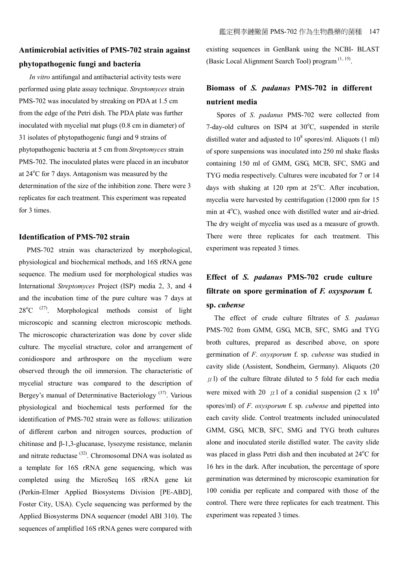# **Antimicrobial activities of PMS-702 strain against phytopathogenic fungi and bacteria**

*In vitro* antifungal and antibacterial activity tests were performed using plate assay technique. *Streptomyces* strain PMS-702 was inoculated by streaking on PDA at 1.5 cm from the edge of the Petri dish. The PDA plate was further inoculated with mycelial mat plugs (0.8 cm in diameter) of 31 isolates of phytopathogenic fungi and 9 strains of phytopathogenic bacteria at 5 cm from *Streptomyces* strain PMS-702. The inoculated plates were placed in an incubator at  $24^{\circ}$ C for 7 days. Antagonism was measured by the determination of the size of the inhibition zone. There were 3 replicates for each treatment. This experiment was repeated for 3 times.

#### **Identification of PMS-702 strain**

PMS-702 strain was characterized by morphological, physiological and biochemical methods, and 16S rRNA gene sequence. The medium used for morphological studies was International *Streptomyces* Project (ISP) media 2, 3, and 4 and the incubation time of the pure culture was 7 days at  $28^{\circ}$ C <sup>(27)</sup>. Morphological methods consist of light microscopic and scanning electron microscopic methods. The microscopic characterization was done by cover slide culture. The mycelial structure, color and arrangement of conidiospore and arthrospore on the mycelium were observed through the oil immersion. The characteristic of mycelial structure was compared to the description of Bergey's manual of Determinative Bacteriology<sup>(37)</sup>. Various physiological and biochemical tests performed for the identification of PMS-702 strain were as follows: utilization of different carbon and nitrogen sources, production of chitinase and β-1,3-glucanase, lysozyme resistance, melanin and nitrate reductase (32). Chromosomal DNA was isolated as a template for 16S rRNA gene sequencing, which was completed using the MicroSeq 16S rRNA gene kit (Perkin-Elmer Applied Biosystems Division [PE-ABD], Foster City, USA). Cycle sequencing was performed by the Applied Biosysterms DNA sequencer (model ABI 310). The sequences of amplified 16S rRNA genes were compared with

existing sequences in GenBank using the NCBI- BLAST (Basic Local Alignment Search Tool) program<sup>(1, 15)</sup>.

# **Biomass of** *S. padanus* **PMS-702 in different nutrient media**

Spores of *S*. *padanus* PMS-702 were collected from 7-day-old cultures on ISP4 at  $30^{\circ}$ C, suspended in sterile distilled water and adjusted to  $10^8$  spores/ml. Aliquots (1 ml) of spore suspensions was inoculated into 250 ml shake flasks containing 150 ml of GMM, GSG, MCB, SFC, SMG and TYG media respectively. Cultures were incubated for 7 or 14 days with shaking at 120 rpm at  $25^{\circ}$ C. After incubation, mycelia were harvested by centrifugation (12000 rpm for 15 min at  $4^{\circ}$ C), washed once with distilled water and air-dried. The dry weight of mycelia was used as a measure of growth. There were three replicates for each treatment. This experiment was repeated 3 times.

# **Effect of** *S. padanus* **PMS-702 crude culture filtrate on spore germination of** *F. oxysporum* **f. sp.** *cubense*

The effect of crude culture filtrates of *S. padanus* PMS-702 from GMM, GSG, MCB, SFC, SMG and TYG broth cultures, prepared as described above, on spore germination of *F*. *oxysporum* f. sp. *cubense* was studied in cavity slide (Assistent, Sondheim, Germany). Aliquots (20  $\mu$  l) of the culture filtrate diluted to 5 fold for each media were mixed with 20  $\mu$ 1 of a conidial suspension (2 x 10<sup>4</sup>) spores/ml) of *F*. *oxysporum* f. sp. *cubense* and pipetted into each cavity slide. Control treatments included uninoculated GMM, GSG, MCB, SFC, SMG and TYG broth cultures alone and inoculated sterile distilled water. The cavity slide was placed in glass Petri dish and then incubated at  $24^{\circ}$ C for 16 hrs in the dark. After incubation, the percentage of spore germination was determined by microscopic examination for 100 conidia per replicate and compared with those of the control. There were three replicates for each treatment. This experiment was repeated 3 times.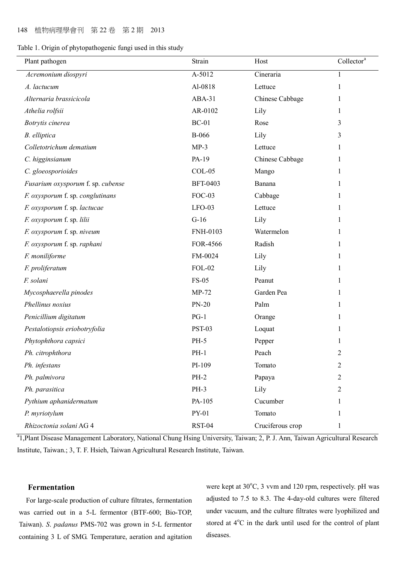|  | Table 1. Origin of phytopathogenic fungi used in this study |  |  |  |  |  |
|--|-------------------------------------------------------------|--|--|--|--|--|
|  |                                                             |  |  |  |  |  |

| Plant pathogen                    | Strain          | Host             | Collector <sup>a</sup> |
|-----------------------------------|-----------------|------------------|------------------------|
| Acremonium diospyri               | A-5012          | Cineraria        | 1                      |
| A. lactucum                       | Al-0818         | Lettuce          | 1                      |
| Alternaria brassicicola           | ABA-31          | Chinese Cabbage  | 1                      |
| Athelia rolfsii                   | AR-0102         | Lily             | 1                      |
| Botrytis cinerea                  | $BC-01$         | Rose             | 3                      |
| B. elliptica                      | <b>B-066</b>    | Lily             | 3                      |
| Colletotrichum dematium           | $MP-3$          | Lettuce          | 1                      |
| C. higginsianum                   | PA-19           | Chinese Cabbage  | 1                      |
| C. gloeosporioides                | $COL-05$        | Mango            | 1                      |
| Fusarium oxysporum f. sp. cubense | <b>BFT-0403</b> | Banana           | 1                      |
| F. oxysporum f. sp. conglutinans  | $FOC-03$        | Cabbage          | 1                      |
| F. oxysporum f. sp. lactucae      | $LFO-03$        | Lettuce          | 1                      |
| F. oxysporum f. sp. lilii         | $G-16$          | Lily             | 1                      |
| F. oxysporum f. sp. niveum        | <b>FNH-0103</b> | Watermelon       | 1                      |
| F. oxysporum f. sp. raphani       | FOR-4566        | Radish           | 1                      |
| F. moniliforme                    | FM-0024         | Lily             | 1                      |
| F. proliferatum                   | <b>FOL-02</b>   | Lily             |                        |
| F. solani                         | <b>FS-05</b>    | Peanut           | 1                      |
| Mycosphaerella pinodes            | $MP-72$         | Garden Pea       |                        |
| Phellinus noxius                  | <b>PN-20</b>    | Palm             | -1                     |
| Penicillium digitatum             | $PG-1$          | Orange           |                        |
| Pestalotiopsis eriobotryfolia     | <b>PST-03</b>   | Loquat           |                        |
| Phytophthora capsici              | <b>PH-5</b>     | Pepper           |                        |
| Ph. citrophthora                  | $PH-1$          | Peach            | 2                      |
| Ph. infestans                     | PI-109          | Tomato           | $\overline{2}$         |
| Ph. palmivora                     | $PH-2$          | Papaya           | $\overline{2}$         |
| Ph. parasitica                    | PH-3            | Lily             | 2                      |
| Pythium aphanidermatum            | PA-105          | Cucumber         |                        |
| P. myriotylum                     | PY-01           | Tomato           | 1                      |
| Rhizoctonia solani AG 4           | <b>RST-04</b>   | Cruciferous crop | 1                      |

<sup>a</sup>1,Plant Disease Management Laboratory, National Chung Hsing University, Taiwan; 2, P. J. Ann, Taiwan Agricultural Research Institute, Taiwan.; 3, T. F. Hsieh, Taiwan Agricultural Research Institute, Taiwan.

#### **Fermentation**

 For large-scale production of culture filtrates, fermentation was carried out in a 5-L fermentor (BTF-600; Bio-TOP, Taiwan). *S*. *padanus* PMS-702 was grown in 5-L fermentor containing 3 L of SMG. Temperature, aeration and agitation were kept at 30°C, 3 vvm and 120 rpm, respectively. pH was adjusted to 7.5 to 8.3. The 4-day-old cultures were filtered under vacuum, and the culture filtrates were lyophilized and stored at  $4^{\circ}$ C in the dark until used for the control of plant diseases.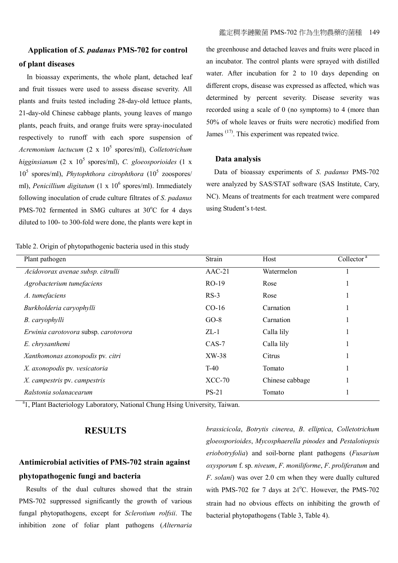# **Application of** *S. padanus* **PMS-702 for control of plant diseases**

In bioassay experiments, the whole plant, detached leaf and fruit tissues were used to assess disease severity. All plants and fruits tested including 28-day-old lettuce plants, 21-day-old Chinese cabbage plants, young leaves of mango plants, peach fruits, and orange fruits were spray-inoculated respectively to runoff with each spore suspension of Acremonium lactucum (2 x  $10^5$  spores/ml), *Colletotrichum* higginsianum (2 x 10<sup>5</sup> spores/ml), *C. gloeosporioides* (1 x 10<sup>5</sup> spores/ml), *Phytophthora citrophthora* (10<sup>5</sup> zoospores/ ml), *Penicillium digitatum* (1 x 10<sup>6</sup> spores/ml). Immediately following inoculation of crude culture filtrates of *S*. *padanus* PMS-702 fermented in SMG cultures at  $30^{\circ}$ C for 4 days diluted to 100- to 300-fold were done, the plants were kept in

Table 2. Origin of phytopathogenic bacteria used in this study

the greenhouse and detached leaves and fruits were placed in an incubator. The control plants were sprayed with distilled water. After incubation for 2 to 10 days depending on different crops, disease was expressed as affected, which was determined by percent severity. Disease severity was recorded using a scale of 0 (no symptoms) to 4 (more than 50% of whole leaves or fruits were necrotic) modified from James <sup>(17)</sup>. This experiment was repeated twice.

#### **Data analysis**

Data of bioassay experiments of *S*. *padanus* PMS-702 were analyzed by SAS/STAT software (SAS Institute, Cary, NC). Means of treatments for each treatment were compared using Student's t-test.

| Plant pathogen                       | Strain   | Host            | Collector <sup>a</sup> |
|--------------------------------------|----------|-----------------|------------------------|
| Acidovorax avenae subsp. citrulli    | $AAC-21$ | Watermelon      |                        |
| Agrobacterium tumefaciens            | $RO-19$  | Rose            |                        |
| A. tumefaciens                       | $RS-3$   | Rose            |                        |
| Burkholderia caryophylli             | $CO-16$  | Carnation       |                        |
| B. caryophylli                       | $GO-8$   | Carnation       |                        |
| Erwinia carotovora subsp. carotovora | $ZL-1$   | Calla lily      |                        |
| E. chrysanthemi                      | $CAS-7$  | Calla lily      |                        |
| Xanthomonas axonopodis pv. citri     | XW-38    | Citrus          |                        |
| X. axonopodis pv. vesicatoria        | $T-40$   | Tomato          |                        |
| X. campestris pv. campestris         | $XCC-70$ | Chinese cabbage |                        |
| Ralstonia solanacearum               | $PS-21$  | Tomato          |                        |

<sup>a</sup>1, Plant Bacteriology Laboratory, National Chung Hsing University, Taiwan.

## **RESULTS**

# **Antimicrobial activities of PMS-702 strain against phytopathogenic fungi and bacteria**

 Results of the dual cultures showed that the strain PMS-702 suppressed significantly the growth of various fungal phytopathogens, except for *Sclerotium rolfsii*. The inhibition zone of foliar plant pathogens (*Alternaria* 

*brassicicola*, *Botrytis cinerea*, *B*. *elliptica*, *Colletotrichum gloeosporioides*, *Mycosphaerella pinodes* and *Pestalotiopsis eriobotryfolia*) and soil-borne plant pathogens (*Fusarium oxysporum* f. sp. *niveum*, *F*. *moniliforme*, *F*. *proliferatum* and *F*. *solani*) was over 2.0 cm when they were dually cultured with PMS-702 for 7 days at 24°C. However, the PMS-702 strain had no obvious effects on inhibiting the growth of bacterial phytopathogens (Table 3, Table 4).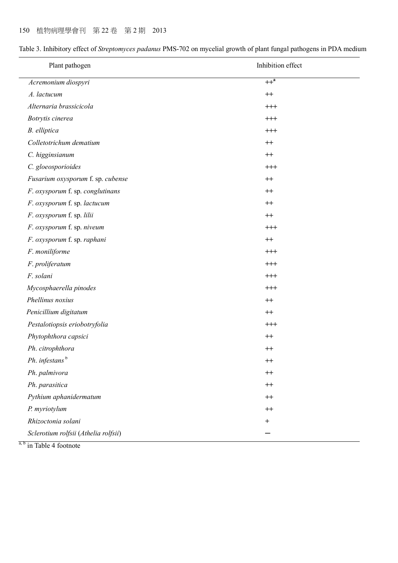| Plant pathogen                       | Inhibition effect |
|--------------------------------------|-------------------|
| Acremonium diospyri                  | $++^a$            |
| A. lactucum                          | $^{++}$           |
| Alternaria brassicicola              | $^{+++}$          |
| Botrytis cinerea                     | $^{+++}$          |
| B. elliptica                         | $^{+++}$          |
| Colletotrichum dematium              | $^{++}$           |
| C. higginsianum                      | $^{++}$           |
| C. gloeosporioides                   | $^{+++}$          |
| Fusarium oxysporum f. sp. cubense    | $^{++}$           |
| F. oxysporum f. sp. conglutinans     | $^{++}$           |
| F. oxysporum f. sp. lactucum         | $^{++}$           |
| F. oxysporum f. sp. lilii            | $^{++}$           |
| F. oxysporum f. sp. niveum           | $^{+++}$          |
| F. oxysporum f. sp. raphani          | $^{++}$           |
| F. moniliforme                       | $^{+++}$          |
| F. proliferatum                      | $^{+++}$          |
| F. solani                            | $^{+++}$          |
| Mycosphaerella pinodes               | $^{+++}$          |
| Phellinus noxius                     | $++$              |
| Penicillium digitatum                | $^{++}$           |
| Pestalotiopsis eriobotryfolia        | $^{+++}$          |
| Phytophthora capsici                 | $++$              |
| Ph. citrophthora                     | $++$              |
| Ph. infestans <sup>b</sup>           | $^{++}$           |
| Ph. palmivora                        | $^{++}$           |
| Ph. parasitica                       | $^{++}$           |
| Pythium aphanidermatum               | $^{++}$           |
| P. myriotylum                        | $^{++}$           |
| Rhizoctonia solani                   | $^{+}$            |
| Sclerotium rolfsii (Athelia rolfsii) |                   |

Table 3. Inhibitory effect of *Streptomyces padanus* PMS-702 on mycelial growth of plant fungal pathogens in PDA medium

 $\frac{a, b}{}$  in Table 4 footnote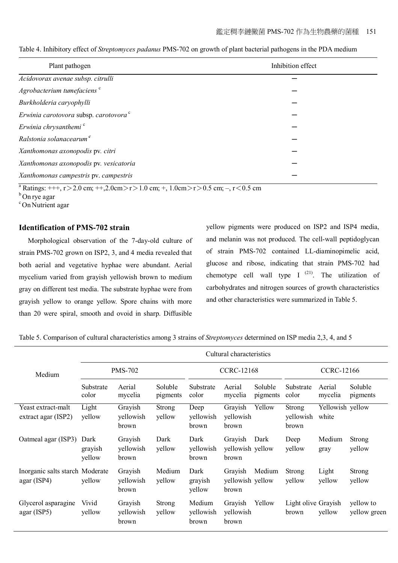| Plant pathogen                                    | Inhibition effect |
|---------------------------------------------------|-------------------|
| Acidovorax avenae subsp. citrulli                 |                   |
| Agrobacterium tumefaciens <sup>c</sup>            |                   |
| Burkholderia caryophylli                          |                   |
| Erwinia carotovora subsp. carotovora <sup>c</sup> |                   |
| Erwinia chrysanthemi <sup>c</sup>                 |                   |
| Ralstonia solanacearum <sup>c</sup>               |                   |
| Xanthomonas axonopodis pv. citri                  |                   |
| Xanthomonas axonopodis pv. vesicatoria            |                   |
| Xanthomonas campestris pv. campestris             |                   |

Table 4. Inhibitory effect of *Streptomyces padanus* PMS-702 on growth of plant bacterial pathogens in the PDA medium

<sup>a</sup> Ratings: +++, r > 2.0 cm; ++,2.0cm > r > 1.0 cm; +, 1.0cm > r > 0.5 cm; -, r < 0.5 cm

 $b$ On rye agar

<sup>c</sup>On Nutrient agar

#### **Identification of PMS-702 strain**

Morphological observation of the 7-day-old culture of strain PMS-702 grown on ISP2, 3, and 4 media revealed that both aerial and vegetative hyphae were abundant. Aerial mycelium varied from grayish yellowish brown to medium gray on different test media. The substrate hyphae were from grayish yellow to orange yellow. Spore chains with more than 20 were spiral, smooth and ovoid in sharp. Diffusible

yellow pigments were produced on ISP2 and ISP4 media, and melanin was not produced. The cell-wall peptidoglycan of strain PMS-702 contained LL-diaminopimelic acid, glucose and ribose, indicating that strain PMS-702 had chemotype cell wall type I  $^{(21)}$ . The utilization of carbohydrates and nitrogen sources of growth characteristics and other characteristics were summarized in Table 5.

Table 5. Comparison of cultural characteristics among 3 strains of *Streptomyces* determined on ISP media 2,3, 4, and 5

|                                                | Cultural characteristics  |                               |                         |                              |                                      |                     |                              |                           |                           |
|------------------------------------------------|---------------------------|-------------------------------|-------------------------|------------------------------|--------------------------------------|---------------------|------------------------------|---------------------------|---------------------------|
| Medium                                         | <b>PMS-702</b>            |                               |                         |                              | <b>CCRC-12168</b>                    | <b>CCRC-12166</b>   |                              |                           |                           |
|                                                | Substrate<br>color        | Aerial<br>mycelia             | Soluble<br>pigments     | Substrate<br>color           | Aerial<br>mycelia                    | Soluble<br>pigments | Substrate<br>color           | Aerial<br>mycelia         | Soluble<br>pigments       |
| Yeast extract-malt<br>extract agar (ISP2)      | Light<br>yellow           | Grayish<br>yellowish<br>brown | <b>Strong</b><br>yellow | Deep<br>yellowish<br>brown   | Grayish<br>yellowish<br>brown        | Yellow              | Strong<br>yellowish<br>brown | Yellowish yellow<br>white |                           |
| Oatmeal agar (ISP3)                            | Dark<br>grayish<br>yellow | Grayish<br>yellowish<br>brown | Dark<br>yellow          | Dark<br>yellowish<br>brown   | Grayish<br>yellowish yellow<br>brown | Dark                | Deep<br>yellow               | Medium<br>gray            | <b>Strong</b><br>yellow   |
| Inorganic salts starch Moderate<br>agar (ISP4) | yellow                    | Grayish<br>yellowish<br>brown | Medium<br>yellow        | Dark<br>grayish<br>yellow    | Grayish<br>yellowish yellow<br>brown | Medium              | Strong<br>yellow             | Light<br>yellow           | <b>Strong</b><br>yellow   |
| Glycerol asparagine<br>agar (ISP5)             | Vivid<br>yellow           | Grayish<br>yellowish<br>brown | <b>Strong</b><br>yellow | Medium<br>yellowish<br>brown | Grayish<br>yellowish<br>brown        | Yellow              | Light olive Grayish<br>brown | yellow                    | yellow to<br>yellow green |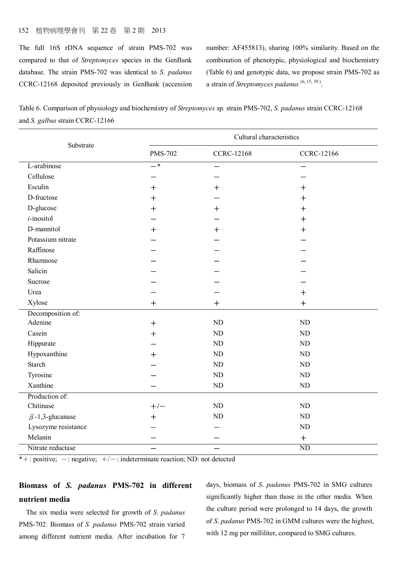### 152 植物病理學會刊 第 22 卷 第 2 期 2013

The full 16S rDNA sequence of strain PMS-702 was compared to that of *Streptomyces* species in the GenBank database. The strain PMS-702 was identical to *S*. *padanus* CCRC-12168 deposited previously in GenBank (accession number: AF455813), sharing 100% similarity. Based on the combination of phenotypic, physiological and biochemistry (Table 6) and genotypic data, we propose strain PMS-702 as a strain of *Streptomyces padanus* (6, 15, 39 ) .

Table 6. Comparison of physiology and biochemistry of *Streptomyces* sp*.* strain PMS-702, *S. padanus* strain CCRC-12168 and *S. galbus* strain CCRC-12166

| Substrate              | Cultural characteristics |                   |                   |  |  |  |
|------------------------|--------------------------|-------------------|-------------------|--|--|--|
|                        | <b>PMS-702</b>           | <b>CCRC-12168</b> | <b>CCRC-12166</b> |  |  |  |
| L-arabinose            | $-$ *                    | —                 | —                 |  |  |  |
| Cellulose              |                          |                   |                   |  |  |  |
| Esculin                | ┿                        | $^{+}$            | $^{+}$            |  |  |  |
| D-fructose             | $+$                      |                   | $+$               |  |  |  |
| D-glucose              | $\boldsymbol{+}$         | $+$               | $+$               |  |  |  |
| <i>i</i> -inositol     |                          |                   | $+$               |  |  |  |
| D-mannitol             | ┿                        | $+$               | $+$               |  |  |  |
| Potassium nitrate      |                          |                   |                   |  |  |  |
| Raffinose              |                          |                   |                   |  |  |  |
| Rhamnose               |                          |                   |                   |  |  |  |
| Salicin                |                          |                   |                   |  |  |  |
| Sucrose                |                          |                   |                   |  |  |  |
| Urea                   |                          |                   | $+$               |  |  |  |
| Xylose                 | $+$                      | $^{+}$            | $+$               |  |  |  |
| Decomposition of:      |                          |                   |                   |  |  |  |
| Adenine                | $+$                      | ND                | ND                |  |  |  |
| Casein                 | $\ddag$                  | ND                | <b>ND</b>         |  |  |  |
| Hippurate              |                          | ND                | N <sub>D</sub>    |  |  |  |
| Hypoxanthine           | $\bm{+}$                 | ND                | <b>ND</b>         |  |  |  |
| <b>Starch</b>          |                          | ND                | <b>ND</b>         |  |  |  |
| Tyrosine               |                          | ND                | N <sub>D</sub>    |  |  |  |
| Xanthine               |                          | ${\rm ND}$        | ND                |  |  |  |
| Production of:         |                          |                   |                   |  |  |  |
| Chitinase              | $+/-$                    | ND                | ND                |  |  |  |
| $\beta$ -1,3-glucanase | $\overline{+}$           | ND                | <b>ND</b>         |  |  |  |
| Lysozyme resistance    |                          |                   | ND                |  |  |  |
| Melanin                |                          |                   | $+$               |  |  |  |
| Nitrate reductase      |                          |                   | <b>ND</b>         |  |  |  |

 $*+$ : positive; -: negative;  $+/-$ : indeterminate reaction; ND: not detected

## **Biomass of** *S. padanus* **PMS-702 in different nutrient media**

 The six media were selected for growth of *S*. *padanus* PMS-702. Biomass of *S. padanus* PMS-702 strain varied among different nutrient media. After incubation for 7 days, biomass of *S*. *padanus* PMS-702 in SMG cultures significantly higher than those in the other media. When the culture period were prolonged to 14 days, the growth of *S*. *padanus* PMS-702 in GMM cultures were the highest, with 12 mg per milliliter, compared to SMG cultures.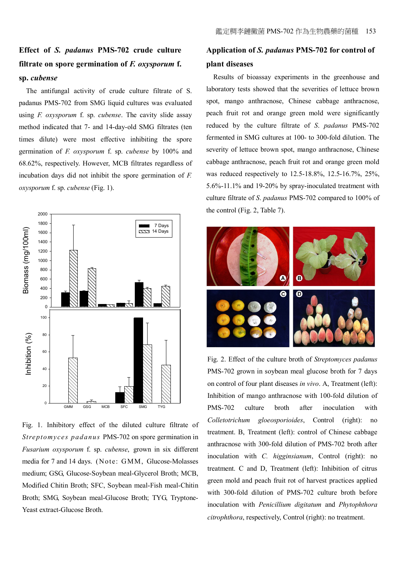# **Effect of** *S. padanus* **PMS-702 crude culture filtrate on spore germination of** *F. oxysporum* **f. sp.** *cubense*

 The antifungal activity of crude culture filtrate of S. padanus PMS-702 from SMG liquid cultures was evaluated using *F. oxysporum* f. sp. *cubense*. The cavity slide assay method indicated that 7- and 14-day-old SMG filtrates (ten times dilute) were most effective inhibiting the spore germination of *F. oxysporum* f. sp. *cubense* by 100% and 68.62%, respectively. However, MCB filtrates regardless of incubation days did not inhibit the spore germination of *F. oxysporum* f. sp. *cubense* (Fig. 1).



Fig. 1. Inhibitory effect of the diluted culture filtrate of *Streptomyces padanus* PMS-702 on spore germination in *Fusarium oxysporum* f. sp. *cubense*, grown in six different media for 7 and 14 days. (Note: GMM, Glucose-Molasses medium; GSG, Glucose-Soybean meal-Glycerol Broth; MCB, Modified Chitin Broth; SFC, Soybean meal-Fish meal-Chitin Broth; SMG, Soybean meal-Glucose Broth; TYG, Tryptone-Yeast extract-Glucose Broth.

# **Application of** *S. padanus* **PMS-702 for control of plant diseases**

 Results of bioassay experiments in the greenhouse and laboratory tests showed that the severities of lettuce brown spot, mango anthracnose, Chinese cabbage anthracnose, peach fruit rot and orange green mold were significantly reduced by the culture filtrate of *S*. *padanus* PMS-702 fermented in SMG cultures at 100- to 300-fold dilution. The severity of lettuce brown spot, mango anthracnose, Chinese cabbage anthracnose, peach fruit rot and orange green mold was reduced respectively to 12.5-18.8%, 12.5-16.7%, 25%, 5.6%-11.1% and 19-20% by spray-inoculated treatment with culture filtrate of *S*. *padanus* PMS-702 compared to 100% of the control (Fig. 2, Table 7).



Fig. 2. Effect of the culture broth of *Streptomyces padanus* PMS-702 grown in soybean meal glucose broth for 7 days on control of four plant diseases *in vivo*. A, Treatment (left): Inhibition of mango anthracnose with 100-fold dilution of PMS-702 culture broth after inoculation with *Colletotrichum gloeosporioides*, Control (right): no treatment. B, Treatment (left): control of Chinese cabbage anthracnose with 300-fold dilution of PMS-702 broth after inoculation with *C. higginsianum*, Control (right): no treatment. C and D, Treatment (left): Inhibition of citrus green mold and peach fruit rot of harvest practices applied with 300-fold dilution of PMS-702 culture broth before inoculation with *Penicillium digitatum* and *Phytophthora citrophthora*, respectively, Control (right): no treatment.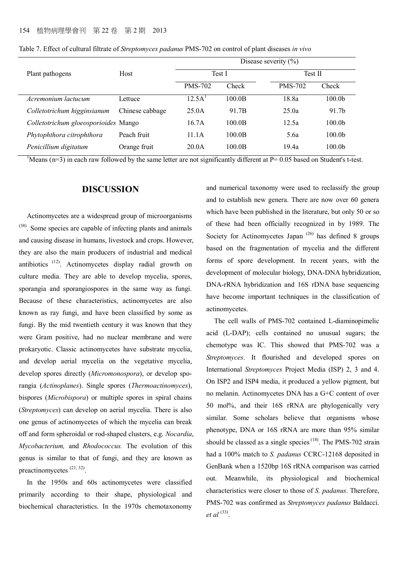|                                      | Host            | Disease severity $(\% )$ |        |                |                    |  |  |
|--------------------------------------|-----------------|--------------------------|--------|----------------|--------------------|--|--|
| Plant pathogens                      |                 |                          | Test I |                | Test II            |  |  |
|                                      |                 | <b>PMS-702</b>           | Check  | <b>PMS-702</b> | Check              |  |  |
| Acremonium lactucum                  | Lettuce         | 12.5A <sup>T</sup>       | 100.0B | 18.8a          | 100.0 <sub>b</sub> |  |  |
| Colletotrichum higginsianum          | Chinese cabbage | 25.0A                    | 91.7B  | 25.0a          | 91.7 <sub>b</sub>  |  |  |
| Colletotrichum gloeosporioides Mango |                 | 16.7A                    | 100.0B | 12.5a          | 100.0 <sub>b</sub> |  |  |
| Phytophthora citrophthora            | Peach fruit     | 11.1A                    | 100.0B | 5.6a           | 100.0 <sub>b</sub> |  |  |
| Penicillium digitatum                | Orange fruit    | 20.0A                    | 100.0B | 19.4a          | 100.0 <sub>b</sub> |  |  |

Table 7. Effect of cultural filtrate of *Streptomyces padanus* PMS-702 on control of plant diseases *in vivo*

<sup>1</sup>Means ( $n=3$ ) in each raw followed by the same letter are not significantly different at P= 0.05 based on Student's t-test.

## **DISCUSSION**

Actinomycetes are a widespread group of microorganisms (38). Some species are capable of infecting plants and animals and causing disease in humans, livestock and crops. However, they are also the main producers of industrial and medical antibiotics  $(12)$ . Actinomycetes display radial growth on culture media. They are able to develop mycelia, spores, sporangia and sporangiospores in the same way as fungi. Because of these characteristics, actinomycetes are also known as ray fungi, and have been classified by some as fungi. By the mid twentieth century it was known that they were Gram positive, had no nuclear membrane and were prokaryotic. Classic actinomycetes have substrate mycelia, and develop aerial mycelia on the vegetative mycelia, develop spores directly (*Micromonospora*), or develop sporangia (*Actinoplanes*). Single spores (*Thermoactinomyces*), bispores (*Microbispora*) or multiple spores in spiral chains (*Streptomyces*) can develop on aerial mycelia. There is also one genus of actinomycetes of which the mycelia can break off and form spheroidal or rod-shaped clusters, e.g. *Nocardia*, *Mycobacterium,* and *Rhodococcus.* The evolution of this genus is similar to that of fungi, and they are known as preactinomycetes<sup>(21, 32)</sup>.

In the 1950s and 60s actinomycetes were classified primarily according to their shape, physiological and biochemical characteristics. In the 1970s chemotaxonomy

and numerical taxonomy were used to reclassify the group and to establish new genera. There are now over 60 genera which have been published in the literature, but only 50 or so of these had been officially recognized in by 1989. The Society for Actinomycetes Japan<sup> $(26)$ </sup> has defined 8 groups based on the fragmentation of mycelia and the different forms of spore development. In recent years, with the development of molecular biology, DNA-DNA hybridization, DNA-rRNA hybridization and 16S rDNA base sequencing have become important techniques in the classification of actinomycetes.

The cell walls of PMS-702 contained L-diaminopimelic acid (L-DAP); cells contained no unusual sugars; the chemotype was IC. This showed that PMS-702 was a *Streptomyces*. It flourished and developed spores on International *Streptomyces* Project Media (ISP) 2, 3 and 4. On ISP2 and ISP4 media, it produced a yellow pigment, but no melanin. Actinomycetes DNA has a G+C content of over 50 mol%, and their 16S rRNA are phylogenically very similar. Some scholars believe that organisms whose phenotype, DNA or 16S rRNA are more than 95% similar should be classed as a single species  $(18)$ . The PMS-702 strain had a 100% match to *S. padanus* CCRC-12168 deposited in GenBank when a 1520bp 16S rRNA comparison was carried out. Meanwhile, its physiological and biochemical characteristics were closer to those of *S. padanus*. Therefore, PMS-702 was confirmed as *Streptomyces padanus* Baldacci. *et al* <sup>(33)</sup>.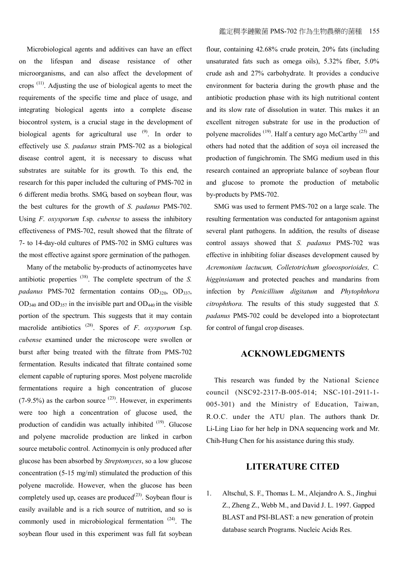Microbiological agents and additives can have an effect on the lifespan and disease resistance of other microorganisms, and can also affect the development of crops  $(11)$ . Adjusting the use of biological agents to meet the requirements of the specific time and place of usage, and integrating biological agents into a complete disease biocontrol system, is a crucial stage in the development of biological agents for agricultural use  $(9)$ . In order to effectively use *S*. *padanus* strain PMS-702 as a biological disease control agent, it is necessary to discuss what substrates are suitable for its growth. To this end, the research for this paper included the culturing of PMS-702 in 6 different media broths. SMG, based on soybean flour, was the best cultures for the growth of *S*. *padanus* PMS-702. Using *F*. *oxysporum* f.sp. *cubense* to assess the inhibitory effectiveness of PMS-702, result showed that the filtrate of 7- to 14-day-old cultures of PMS-702 in SMG cultures was the most effective against spore germination of the pathogen.

Many of the metabolic by-products of actinomycetes have antibiotic properties (38). The complete spectrum of the *S. padanus* PMS-702 fermentation contains OD<sub>320</sub>, OD<sub>337</sub>,  $OD_{340}$  and  $OD_{357}$  in the invisible part and  $OD_{440}$  in the visible portion of the spectrum. This suggests that it may contain macrolide antibiotics (28). Spores of *F*. *oxysporum* f.sp. *cubense* examined under the microscope were swollen or burst after being treated with the filtrate from PMS-702 fermentation. Results indicated that filtrate contained some element capable of rupturing spores. Most polyene macrolide fermentations require a high concentration of glucose  $(7-9.5%)$  as the carbon source  $^{(23)}$ . However, in experiments were too high a concentration of glucose used, the production of candidin was actually inhibited <sup>(19)</sup>. Glucose and polyene macrolide production are linked in carbon source metabolic control. Actinomycin is only produced after glucose has been absorbed by *Streptomyces*, so a low glucose concentration (5-15 mg/ml) stimulated the production of this polyene macrolide. However, when the glucose has been completely used up, ceases are produced $(23)$ . Soybean flour is easily available and is a rich source of nutrition, and so is commonly used in microbiological fermentation <sup>(24)</sup>. The soybean flour used in this experiment was full fat soybean

flour, containing 42.68% crude protein, 20% fats (including unsaturated fats such as omega oils), 5.32% fiber, 5.0% crude ash and 27% carbohydrate. It provides a conducive environment for bacteria during the growth phase and the antibiotic production phase with its high nutritional content and its slow rate of dissolution in water. This makes it an excellent nitrogen substrate for use in the production of polyene macrolides  $(19)$ . Half a century ago McCarthy  $(25)$  and others had noted that the addition of soya oil increased the production of fungichromin. The SMG medium used in this research contained an appropriate balance of soybean flour and glucose to promote the production of metabolic by-products by PMS-702.

SMG was used to ferment PMS-702 on a large scale. The resulting fermentation was conducted for antagonism against several plant pathogens. In addition, the results of disease control assays showed that *S. padanus* PMS-702 was effective in inhibiting foliar diseases development caused by *Acremonium lactucum, Colletotrichum gloeosporioides, C. higginsianum* and protected peaches and mandarins from infection by *Penicillium digitatum* and *Phytophthora citrophthora.* The results of this study suggested that *S. padanus* PMS-702 could be developed into a bioprotectant for control of fungal crop diseases.

#### **ACKNOWLEDGMENTS**

This research was funded by the National Science council (NSC92-2317-B-005-014; NSC-101-2911-1- 005-301) and the Ministry of Education, Taiwan, R.O.C. under the ATU plan. The authors thank Dr. Li-Ling Liao for her help in DNA sequencing work and Mr. Chih-Hung Chen for his assistance during this study.

## **LITERATURE CITED**

1. Altschul, S. F., Thomas L. M., Alejandro A. S., Jinghui Z., Zheng Z., Webb M., and David J. L. 1997. Gapped BLAST and PSI-BLAST: a new generation of protein database search Programs. Nucleic Acids Res.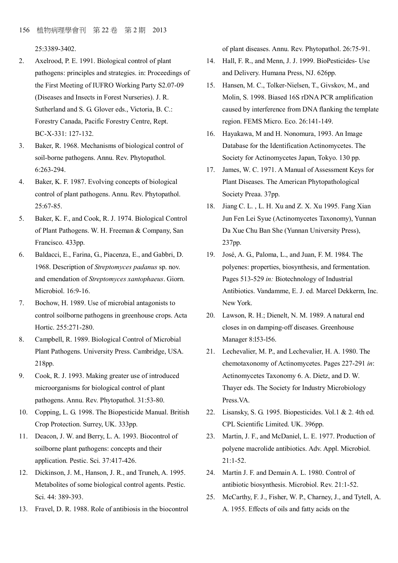25:3389-3402.

- 2. Axelrood, P. E. 1991. Biological control of plant pathogens: principles and strategies. in: Proceedings of the First Meeting of IUFRO Working Party S2.07-09 (Diseases and Insects in Forest Nurseries). J. R. Sutherland and S. G. Glover eds., Victoria, B. C.: Forestry Canada, Pacific Forestry Centre, Rept. BC-X-331: 127-132.
- 3. Baker, R. 1968. Mechanisms of biological control of soil-borne pathogens. Annu. Rev. Phytopathol. 6:263-294.
- 4. Baker, K. F. 1987. Evolving concepts of biological control of plant pathogens. Annu. Rev. Phytopathol. 25:67-85.
- 5. Baker, K. F., and Cook, R. J. 1974. Biological Control of Plant Pathogens. W. H. Freeman & Company, San Francisco. 433pp.
- 6. Baldacci, E., Farina, G., Piacenza, E., and Gabbri, D. 1968. Description of *Streptomyces padanus* sp. nov. and emendation of *Streptomyces xantophaeus*. Giorn. Microbiol. 16:9-16.
- 7. Bochow, H. 1989. Use of microbial antagonists to control soilborne pathogens in greenhouse crops. Acta Hortic. 255:271-280.
- 8. Campbell, R. 1989. Biological Control of Microbial Plant Pathogens. University Press. Cambridge, USA. 218pp.
- 9. Cook, R. J. 1993. Making greater use of introduced microorganisms for biological control of plant pathogens. Annu. Rev. Phytopathol. 31:53-80.
- 10. Copping, L. G. 1998. The Biopesticide Manual. British Crop Protection. Surrey, UK. 333pp.
- 11. Deacon, J. W. and Berry, L. A. 1993. Biocontrol of soilborne plant pathogens: concepts and their application. Pestic. Sci. 37:417-426.
- 12. Dickinson, J. M., Hanson, J. R., and Truneh, A. 1995. Metabolites of some biological control agents. Pestic. Sci. 44: 389-393.
- 13. Fravel, D. R. 1988. Role of antibiosis in the biocontrol

of plant diseases. Annu. Rev. Phytopathol. 26:75-91.

- 14. Hall, F. R., and Menn, J. J. 1999. BioPesticides- Use and Delivery. Humana Press, NJ. 626pp.
- 15. Hansen, M. C., Tolker-Nielsen, T., Givskov, M., and Molin, S. 1998. Biased 16S rDNA PCR amplification caused by interference from DNA flanking the template region. FEMS Micro. Eco. 26:141-149.
- 16. Hayakawa, M and H. Nonomura, 1993. An Image Database for the Identification Actinomycetes. The Society for Actinomycetes Japan, Tokyo. 130 pp.
- 17. James, W. C. 1971. A Manual of Assessment Keys for Plant Diseases. The American Phytopathological Society Preaa. 37pp.
- 18. Jiang C. L. , L. H. Xu and Z. X. Xu 1995. Fang Xian Jun Fen Lei Syue (Actinomycetes Taxonomy), Yunnan Da Xue Chu Ban She (Yunnan University Press), 237pp.
- 19. José, A. G., Paloma, L., and Juan, F. M. 1984. The polyenes: properties, biosynthesis, and fermentation. Pages 513-529 *in:* Biotechnology of Industrial Antibiotics. Vandamme, E. J. ed. Marcel Dekkerm, Inc. New York.
- 20. Lawson, R. H.; Dienelt, N. M. 1989. A natural end closes in on damping-off diseases. Greenhouse Manager 8:l53-l56.
- 21. Lechevalier, M. P., and Lechevalier, H. A. 1980. The chemotaxonomy of Actinomycetes. Pages 227-291 *in*: Actinomycetes Taxonomy 6. A. Dietz, and D. W. Thayer eds. The Society for Industry Microbiology Press VA
- 22. Lisansky, S. G. 1995. Biopesticides. Vol.1 & 2. 4th ed. CPL Scientific Limited. UK. 396pp.
- 23. Martin, J. F., and McDaniel, L. E. 1977. Production of polyene macrolide antibiotics. Adv. Appl. Microbiol.  $21:1-52$ .
- 24. Martin J. F. and Demain A. L. 1980. Control of antibiotic biosynthesis. Microbiol. Rev. 21:1-52.
- 25. McCarthy, F. J., Fisher, W. P., Charney, J., and Tytell, A. A. 1955. Effects of oils and fatty acids on the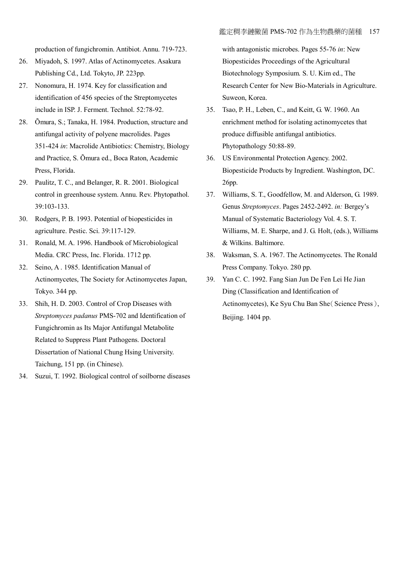production of fungichromin. Antibiot. Annu. 719-723.

- 26. Miyadoh, S. 1997. Atlas of Actinomycetes. Asakura Publishing Cd., Ltd. Tokyto, JP. 223pp.
- 27. Nonomura, H. 1974. Key for classification and identification of 456 species of the Streptomycetes include in ISP. J. Ferment. Technol. 52:78-92.
- 28. Õmura, S.; Tanaka, H. 1984. Production, structure and antifungal activity of polyene macrolides. Pages 351-424 *in*: Macrolide Antibiotics: Chemistry, Biology and Practice, S. Õmura ed., Boca Raton, Academic Press, Florida.
- 29. Paulitz, T. C., and Belanger, R. R. 2001. Biological control in greenhouse system. Annu. Rev. Phytopathol. 39:103-133.
- 30. Rodgers, P. B. 1993. Potential of biopesticides in agriculture. Pestic. Sci. 39:117-129.
- 31. Ronald, M. A. 1996. Handbook of Microbiological Media. CRC Press, Inc. Florida. 1712 pp.
- 32. Seino, A . 1985. Identification Manual of Actinomycetes, The Society for Actinomycetes Japan, Tokyo. 344 pp.
- 33. Shih, H. D. 2003. Control of Crop Diseases with *Streptomyces padanus* PMS-702 and Identification of Fungichromin as Its Major Antifungal Metabolite Related to Suppress Plant Pathogens. Doctoral Dissertation of National Chung Hsing University. Taichung, 151 pp. (in Chinese).
- 34. Suzui, T. 1992. Biological control of soilborne diseases

with antagonistic microbes. Pages 55-76 *in*: New Biopesticides Proceedings of the Agricultural Biotechnology Symposium. S. U. Kim ed., The Research Center for New Bio-Materials in Agriculture. Suweon, Korea.

- 35. Tsao, P. H., Leben, C., and Keitt, G. W. 1960. An enrichment method for isolating actinomycetes that produce diffusible antifungal antibiotics. Phytopathology 50:88-89.
- 36. US Environmental Protection Agency. 2002. Biopesticide Products by Ingredient. Washington, DC. 26pp.
- 37. Williams, S. T., Goodfellow, M. and Alderson, G. 1989. Genus *Streptomyces*. Pages 2452-2492. *in:* Bergey's Manual of Systematic Bacteriology Vol. 4. S. T. Williams, M. E. Sharpe, and J. G. Holt, (eds.), Williams & Wilkins. Baltimore.
- 38. Waksman, S. A. 1967. The Actinomycetes. The Ronald Press Company. Tokyo. 280 pp.
- 39. Yan C. C. 1992. Fang Sian Jun De Fen Lei He Jian Ding (Classification and Identification of Actinomycetes), Ke Syu Chu Ban She (Science Press), Beijing. 1404 pp.